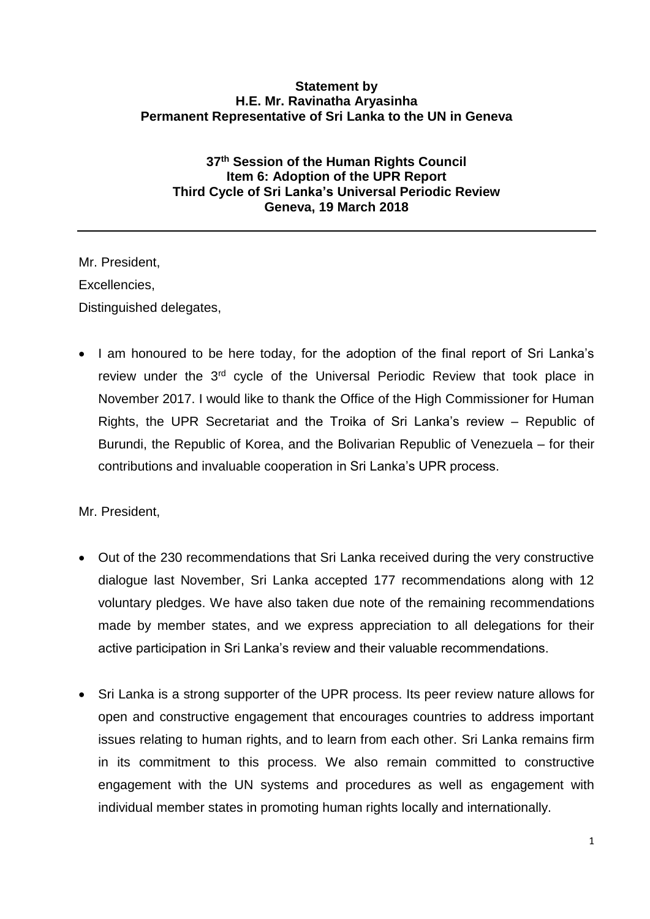## **Statement by H.E. Mr. Ravinatha Aryasinha Permanent Representative of Sri Lanka to the UN in Geneva**

## **37th Session of the Human Rights Council Item 6: Adoption of the UPR Report Third Cycle of Sri Lanka's Universal Periodic Review Geneva, 19 March 2018**

Mr. President, Excellencies, Distinguished delegates,

• I am honoured to be here today, for the adoption of the final report of Sri Lanka's review under the 3<sup>rd</sup> cycle of the Universal Periodic Review that took place in November 2017. I would like to thank the Office of the High Commissioner for Human Rights, the UPR Secretariat and the Troika of Sri Lanka's review – Republic of Burundi, the Republic of Korea, and the Bolivarian Republic of Venezuela – for their contributions and invaluable cooperation in Sri Lanka's UPR process.

Mr. President,

- Out of the 230 recommendations that Sri Lanka received during the very constructive dialogue last November, Sri Lanka accepted 177 recommendations along with 12 voluntary pledges. We have also taken due note of the remaining recommendations made by member states, and we express appreciation to all delegations for their active participation in Sri Lanka's review and their valuable recommendations.
- Sri Lanka is a strong supporter of the UPR process. Its peer review nature allows for open and constructive engagement that encourages countries to address important issues relating to human rights, and to learn from each other. Sri Lanka remains firm in its commitment to this process. We also remain committed to constructive engagement with the UN systems and procedures as well as engagement with individual member states in promoting human rights locally and internationally.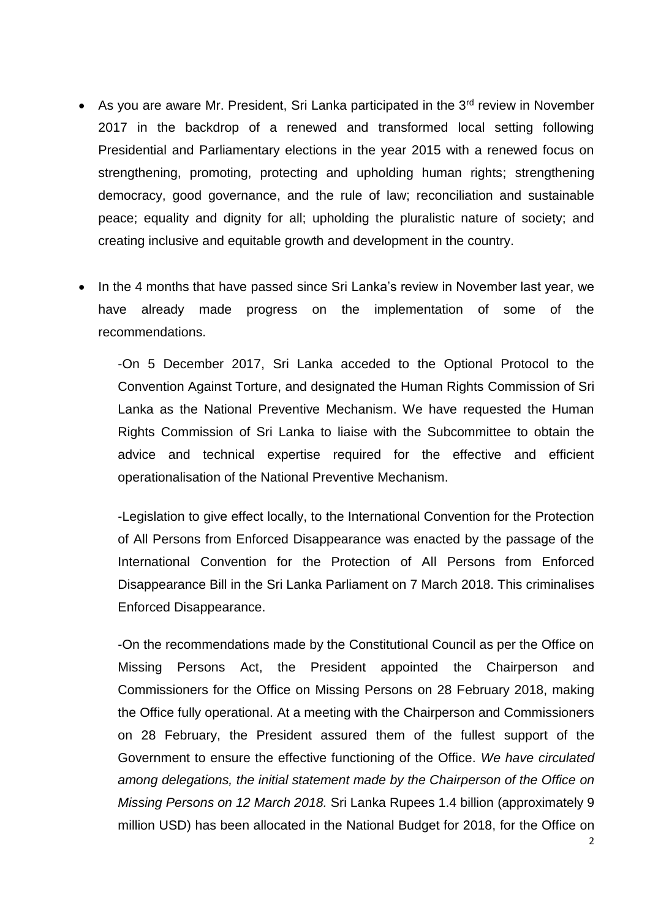- As you are aware Mr. President, Sri Lanka participated in the 3<sup>rd</sup> review in November 2017 in the backdrop of a renewed and transformed local setting following Presidential and Parliamentary elections in the year 2015 with a renewed focus on strengthening, promoting, protecting and upholding human rights; strengthening democracy, good governance, and the rule of law; reconciliation and sustainable peace; equality and dignity for all; upholding the pluralistic nature of society; and creating inclusive and equitable growth and development in the country.
- In the 4 months that have passed since Sri Lanka's review in November last year, we have already made progress on the implementation of some of the recommendations.

-On 5 December 2017, Sri Lanka acceded to the Optional Protocol to the Convention Against Torture, and designated the Human Rights Commission of Sri Lanka as the National Preventive Mechanism. We have requested the Human Rights Commission of Sri Lanka to liaise with the Subcommittee to obtain the advice and technical expertise required for the effective and efficient operationalisation of the National Preventive Mechanism.

-Legislation to give effect locally, to the International Convention for the Protection of All Persons from Enforced Disappearance was enacted by the passage of the International Convention for the Protection of All Persons from Enforced Disappearance Bill in the Sri Lanka Parliament on 7 March 2018. This criminalises Enforced Disappearance.

-On the recommendations made by the Constitutional Council as per the Office on Missing Persons Act, the President appointed the Chairperson and Commissioners for the Office on Missing Persons on 28 February 2018, making the Office fully operational. At a meeting with the Chairperson and Commissioners on 28 February, the President assured them of the fullest support of the Government to ensure the effective functioning of the Office. *We have circulated among delegations, the initial statement made by the Chairperson of the Office on Missing Persons on 12 March 2018.* Sri Lanka Rupees 1.4 billion (approximately 9 million USD) has been allocated in the National Budget for 2018, for the Office on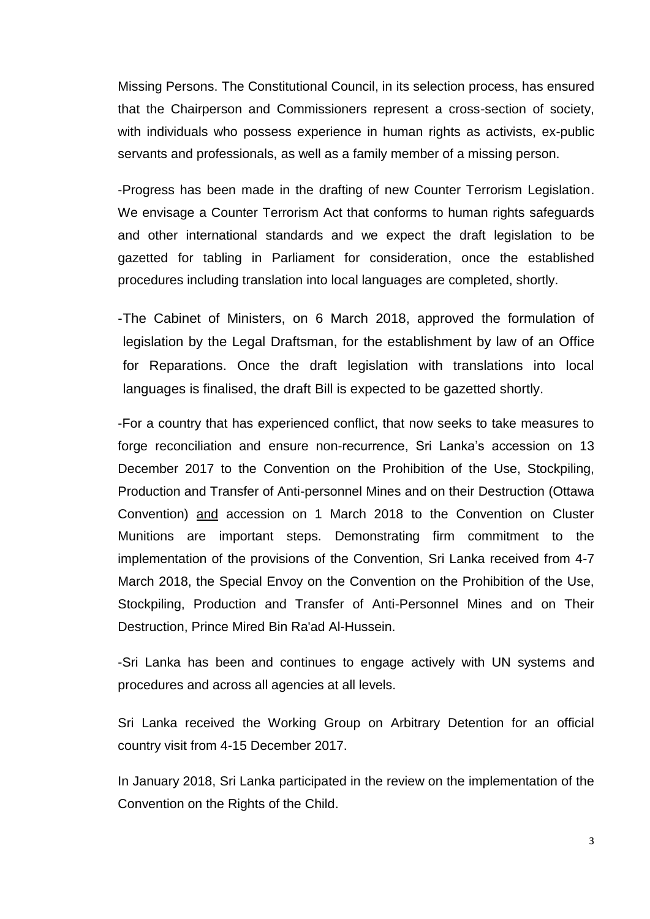Missing Persons. The Constitutional Council, in its selection process, has ensured that the Chairperson and Commissioners represent a cross-section of society, with individuals who possess experience in human rights as activists, ex-public servants and professionals, as well as a family member of a missing person.

-Progress has been made in the drafting of new Counter Terrorism Legislation. We envisage a Counter Terrorism Act that conforms to human rights safeguards and other international standards and we expect the draft legislation to be gazetted for tabling in Parliament for consideration, once the established procedures including translation into local languages are completed, shortly.

-The Cabinet of Ministers, on 6 March 2018, approved the formulation of legislation by the Legal Draftsman, for the establishment by law of an Office for Reparations. Once the draft legislation with translations into local languages is finalised, the draft Bill is expected to be gazetted shortly.

-For a country that has experienced conflict, that now seeks to take measures to forge reconciliation and ensure non-recurrence, Sri Lanka's accession on 13 December 2017 to the Convention on the Prohibition of the Use, Stockpiling, Production and Transfer of Anti-personnel Mines and on their Destruction (Ottawa Convention) and accession on 1 March 2018 to the Convention on Cluster Munitions are important steps. Demonstrating firm commitment to the implementation of the provisions of the Convention, Sri Lanka received from 4-7 March 2018, the Special Envoy on the Convention on the Prohibition of the Use, Stockpiling, Production and Transfer of Anti-Personnel Mines and on Their Destruction, Prince Mired Bin Ra'ad Al-Hussein.

-Sri Lanka has been and continues to engage actively with UN systems and procedures and across all agencies at all levels.

Sri Lanka received the Working Group on Arbitrary Detention for an official country visit from 4-15 December 2017.

In January 2018, Sri Lanka participated in the review on the implementation of the Convention on the Rights of the Child.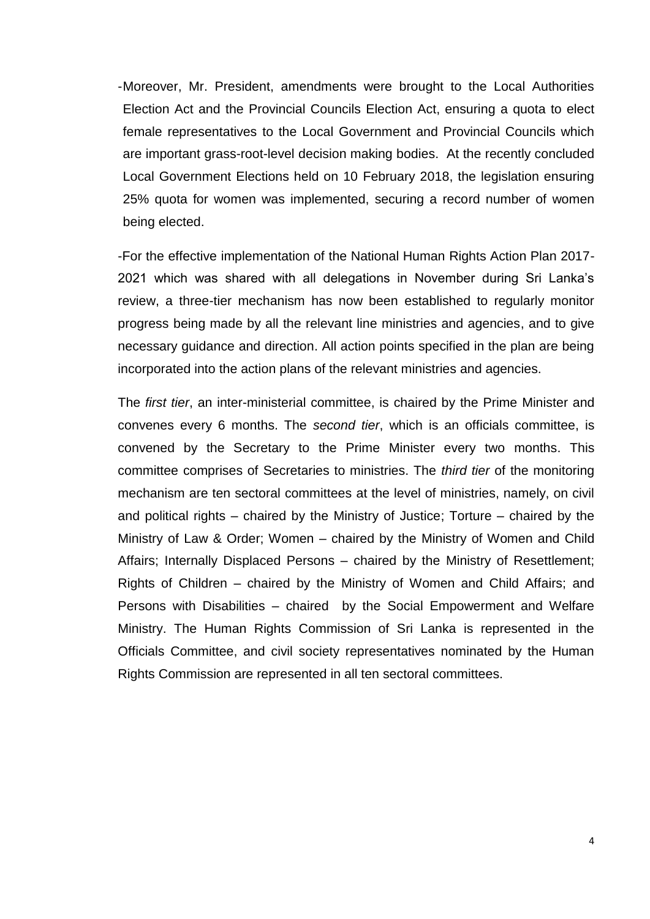-Moreover, Mr. President, amendments were brought to the Local Authorities Election Act and the Provincial Councils Election Act, ensuring a quota to elect female representatives to the Local Government and Provincial Councils which are important grass-root-level decision making bodies. At the recently concluded Local Government Elections held on 10 February 2018, the legislation ensuring 25% quota for women was implemented, securing a record number of women being elected.

-For the effective implementation of the National Human Rights Action Plan 2017- 2021 which was shared with all delegations in November during Sri Lanka's review, a three-tier mechanism has now been established to regularly monitor progress being made by all the relevant line ministries and agencies, and to give necessary guidance and direction. All action points specified in the plan are being incorporated into the action plans of the relevant ministries and agencies.

The *first tier*, an inter-ministerial committee, is chaired by the Prime Minister and convenes every 6 months. The *second tier*, which is an officials committee, is convened by the Secretary to the Prime Minister every two months. This committee comprises of Secretaries to ministries. The *third tier* of the monitoring mechanism are ten sectoral committees at the level of ministries, namely, on civil and political rights – chaired by the Ministry of Justice; Torture – chaired by the Ministry of Law & Order; Women – chaired by the Ministry of Women and Child Affairs; Internally Displaced Persons – chaired by the Ministry of Resettlement; Rights of Children – chaired by the Ministry of Women and Child Affairs; and Persons with Disabilities – chaired by the Social Empowerment and Welfare Ministry. The Human Rights Commission of Sri Lanka is represented in the Officials Committee, and civil society representatives nominated by the Human Rights Commission are represented in all ten sectoral committees.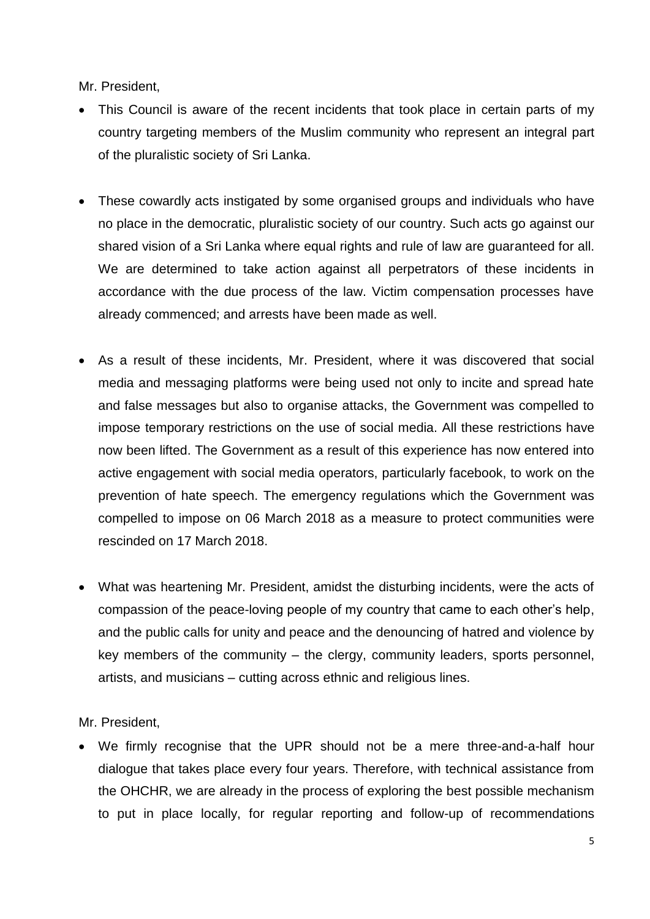Mr. President,

- This Council is aware of the recent incidents that took place in certain parts of my country targeting members of the Muslim community who represent an integral part of the pluralistic society of Sri Lanka.
- These cowardly acts instigated by some organised groups and individuals who have no place in the democratic, pluralistic society of our country. Such acts go against our shared vision of a Sri Lanka where equal rights and rule of law are guaranteed for all. We are determined to take action against all perpetrators of these incidents in accordance with the due process of the law. Victim compensation processes have already commenced; and arrests have been made as well.
- As a result of these incidents, Mr. President, where it was discovered that social media and messaging platforms were being used not only to incite and spread hate and false messages but also to organise attacks, the Government was compelled to impose temporary restrictions on the use of social media. All these restrictions have now been lifted. The Government as a result of this experience has now entered into active engagement with social media operators, particularly facebook, to work on the prevention of hate speech. The emergency regulations which the Government was compelled to impose on 06 March 2018 as a measure to protect communities were rescinded on 17 March 2018.
- What was heartening Mr. President, amidst the disturbing incidents, were the acts of compassion of the peace-loving people of my country that came to each other's help, and the public calls for unity and peace and the denouncing of hatred and violence by key members of the community – the clergy, community leaders, sports personnel, artists, and musicians – cutting across ethnic and religious lines.

Mr. President,

• We firmly recognise that the UPR should not be a mere three-and-a-half hour dialogue that takes place every four years. Therefore, with technical assistance from the OHCHR, we are already in the process of exploring the best possible mechanism to put in place locally, for regular reporting and follow-up of recommendations